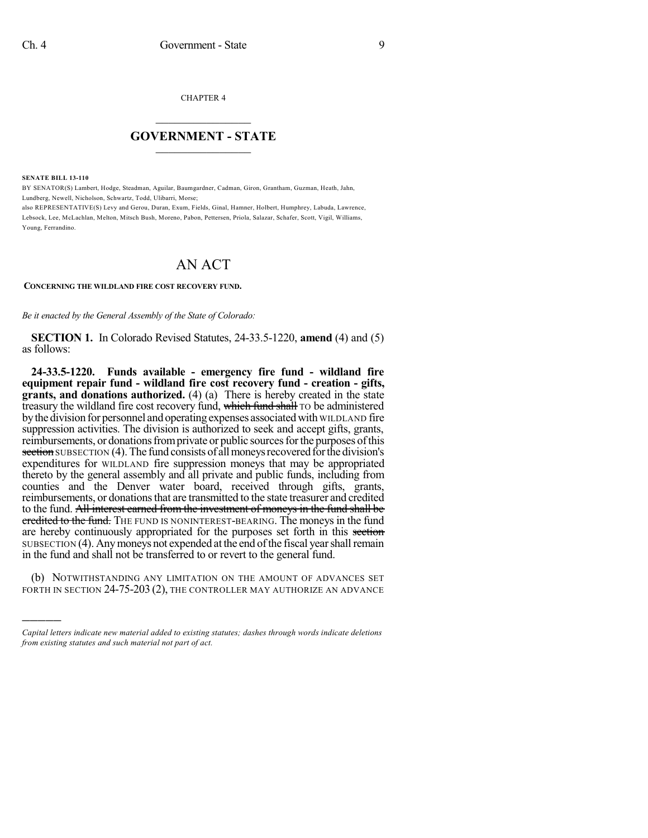CHAPTER 4

## $\mathcal{L}_\text{max}$  . The set of the set of the set of the set of the set of the set of the set of the set of the set of the set of the set of the set of the set of the set of the set of the set of the set of the set of the set **GOVERNMENT - STATE**  $\_$   $\_$

**SENATE BILL 13-110**

)))))

BY SENATOR(S) Lambert, Hodge, Steadman, Aguilar, Baumgardner, Cadman, Giron, Grantham, Guzman, Heath, Jahn, Lundberg, Newell, Nicholson, Schwartz, Todd, Ulibarri, Morse;

also REPRESENTATIVE(S) Levy and Gerou, Duran, Exum, Fields, Ginal, Hamner, Holbert, Humphrey, Labuda, Lawrence, Lebsock, Lee, McLachlan, Melton, Mitsch Bush, Moreno, Pabon, Pettersen, Priola, Salazar, Schafer, Scott, Vigil, Williams, Young, Ferrandino.

## AN ACT

## **CONCERNING THE WILDLAND FIRE COST RECOVERY FUND.**

*Be it enacted by the General Assembly of the State of Colorado:*

**SECTION 1.** In Colorado Revised Statutes, 24-33.5-1220, **amend** (4) and (5) as follows:

**24-33.5-1220. Funds available - emergency fire fund - wildland fire equipment repair fund - wildland fire cost recovery fund - creation - gifts, grants, and donations authorized.** (4) (a) There is hereby created in the state treasury the wildland fire cost recovery fund, which fund shall TO be administered by the division for personnel and operating expenses associated with WILDLAND fire suppression activities. The division is authorized to seek and accept gifts, grants, reimbursements, or donations from private or public sources for the purposes of this section SUBSECTION (4). The fund consists of all moneys recovered for the division's expenditures for WILDLAND fire suppression moneys that may be appropriated thereto by the general assembly and all private and public funds, including from counties and the Denver water board, received through gifts, grants, reimbursements, or donations that are transmitted to the state treasurer and credited to the fund. All interest earned from the investment of moneys in the fund shall be eredited to the fund. The FUND IS NONINTEREST-BEARING. The moneys in the fund are hereby continuously appropriated for the purposes set forth in this section SUBSECTION (4). Any moneys not expended at the end of the fiscal year shall remain in the fund and shall not be transferred to or revert to the general fund.

(b) NOTWITHSTANDING ANY LIMITATION ON THE AMOUNT OF ADVANCES SET FORTH IN SECTION 24-75-203 (2), THE CONTROLLER MAY AUTHORIZE AN ADVANCE

*Capital letters indicate new material added to existing statutes; dashes through words indicate deletions from existing statutes and such material not part of act.*